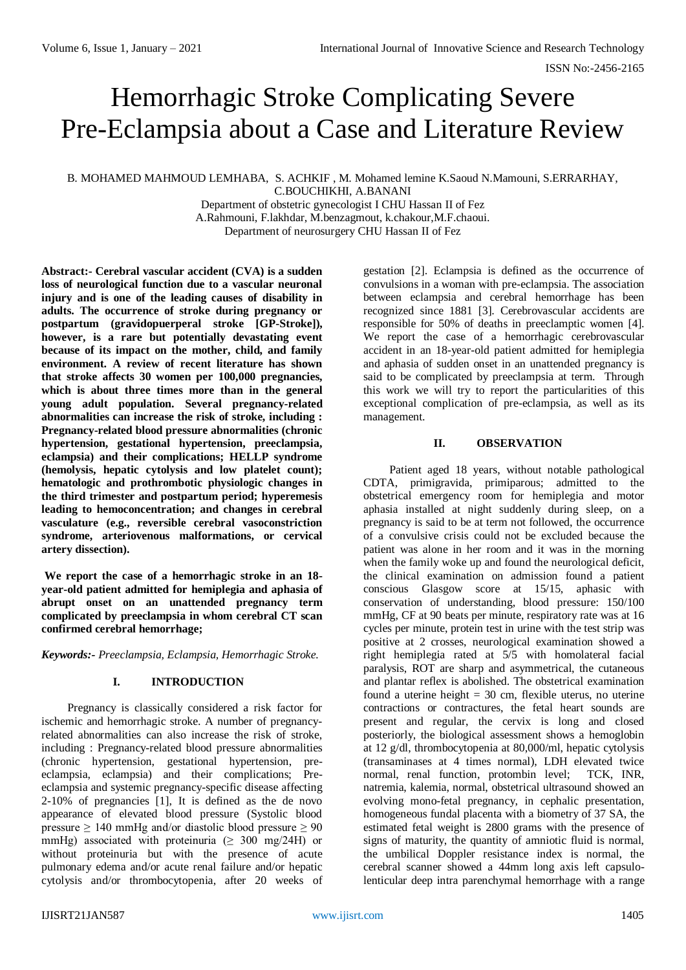# Hemorrhagic Stroke Complicating Severe Pre-Eclampsia about a Case and Literature Review

B. MOHAMED MAHMOUD LEMHABA, S. ACHKIF , M. Mohamed lemine K.Saoud N.Mamouni, S.ERRARHAY, C.BOUCHIKHI, A.BANANI Department of obstetric gynecologist I CHU Hassan II of Fez

A.Rahmouni, F.lakhdar, M.benzagmout, k.chakour,M.F.chaoui. Department of neurosurgery CHU Hassan II of Fez

**Abstract:- Cerebral vascular accident (CVA) is a sudden loss of neurological function due to a vascular neuronal injury and is one of the leading causes of disability in adults. The occurrence of stroke during pregnancy or postpartum (gravidopuerperal stroke [GP-Stroke]), however, is a rare but potentially devastating event because of its impact on the mother, child, and family environment. A review of recent literature has shown that stroke affects 30 women per 100,000 pregnancies, which is about three times more than in the general young adult population. Several pregnancy-related abnormalities can increase the risk of stroke, including : Pregnancy-related blood pressure abnormalities (chronic hypertension, gestational hypertension, preeclampsia, eclampsia) and their complications; HELLP syndrome (hemolysis, hepatic cytolysis and low platelet count); hematologic and prothrombotic physiologic changes in the third trimester and postpartum period; hyperemesis leading to hemoconcentration; and changes in cerebral vasculature (e.g., reversible cerebral vasoconstriction syndrome, arteriovenous malformations, or cervical artery dissection).** 

**We report the case of a hemorrhagic stroke in an 18 year-old patient admitted for hemiplegia and aphasia of abrupt onset on an unattended pregnancy term complicated by preeclampsia in whom cerebral CT scan confirmed cerebral hemorrhage;** 

*Keywords:- Preeclampsia, Eclampsia, Hemorrhagic Stroke.*

### **I. INTRODUCTION**

Pregnancy is classically considered a risk factor for ischemic and hemorrhagic stroke. A number of pregnancyrelated abnormalities can also increase the risk of stroke, including : Pregnancy-related blood pressure abnormalities (chronic hypertension, gestational hypertension, preeclampsia, eclampsia) and their complications; Preeclampsia and systemic pregnancy-specific disease affecting  $2-10\%$  of pregnancies [1], It is defined as the de novo appearance of elevated blood pressure (Systolic blood pressure  $> 140$  mmHg and/or diastolic blood pressure  $> 90$ mmHg) associated with proteinuria ( $\geq 300$  mg/24H) or without proteinuria but with the presence of acute pulmonary edema and/or acute renal failure and/or hepatic cytolysis and/or thrombocytopenia, after 20 weeks of gestation [2]. Eclampsia is defined as the occurrence of convulsions in a woman with pre-eclampsia. The association between eclampsia and cerebral hemorrhage has been recognized since 1881 [3]. Cerebrovascular accidents are responsible for 50% of deaths in preeclamptic women [4]. We report the case of a hemorrhagic cerebrovascular accident in an 18-year-old patient admitted for hemiplegia and aphasia of sudden onset in an unattended pregnancy is said to be complicated by preeclampsia at term. Through this work we will try to report the particularities of this exceptional complication of pre-eclampsia, as well as its management.

# **II. OBSERVATION**

Patient aged 18 years, without notable pathological CDTA, primigravida, primiparous; admitted to the obstetrical emergency room for hemiplegia and motor aphasia installed at night suddenly during sleep, on a pregnancy is said to be at term not followed, the occurrence of a convulsive crisis could not be excluded because the patient was alone in her room and it was in the morning when the family woke up and found the neurological deficit. the clinical examination on admission found a patient conscious Glasgow score at 15/15, aphasic with conservation of understanding, blood pressure: 150/100 mmHg, CF at 90 beats per minute, respiratory rate was at 16 cycles per minute, protein test in urine with the test strip was positive at 2 crosses, neurological examination showed a right hemiplegia rated at 5/5 with homolateral facial paralysis, ROT are sharp and asymmetrical, the cutaneous and plantar reflex is abolished. The obstetrical examination found a uterine height  $= 30$  cm, flexible uterus, no uterine contractions or contractures, the fetal heart sounds are present and regular, the cervix is long and closed posteriorly, the biological assessment shows a hemoglobin at 12 g/dl, thrombocytopenia at 80,000/ml, hepatic cytolysis (transaminases at 4 times normal), LDH elevated twice normal, renal function, protombin level; TCK, INR, natremia, kalemia, normal, obstetrical ultrasound showed an evolving mono-fetal pregnancy, in cephalic presentation, homogeneous fundal placenta with a biometry of 37 SA, the estimated fetal weight is 2800 grams with the presence of signs of maturity, the quantity of amniotic fluid is normal. the umbilical Doppler resistance index is normal, the cerebral scanner showed a 44mm long axis left capsulolenticular deep intra parenchymal hemorrhage with a range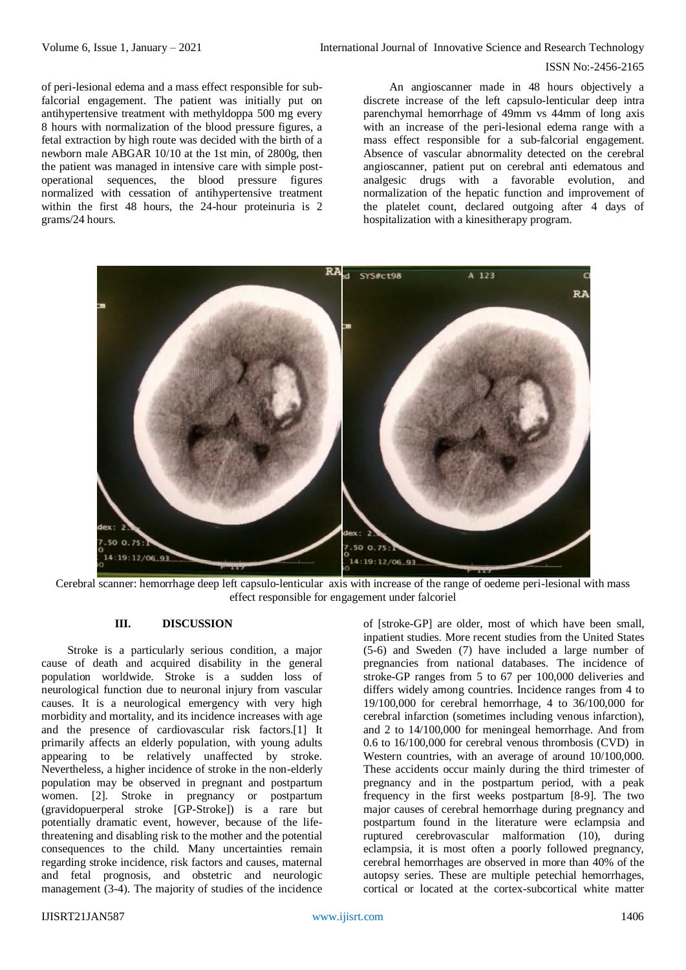#### ISSN No:-2456-2165

of peri-lesional edema and a mass effect responsible for subfalcorial engagement. The patient was initially put on antihypertensive treatment with methyldoppa 500 mg every 8 hours with normalization of the blood pressure figures, a fetal extraction by high route was decided with the birth of a newborn male ABGAR 10/10 at the 1st min, of 2800g, then the patient was managed in intensive care with simple postoperational sequences, the blood pressure figures normalized with cessation of antihypertensive treatment within the first 48 hours, the 24-hour proteinuria is 2 grams/24 hours.

An angioscanner made in 48 hours objectively a discrete increase of the left capsulo-lenticular deep intra parenchymal hemorrhage of 49mm vs 44mm of long axis with an increase of the peri-lesional edema range with a mass effect responsible for a sub-falcorial engagement. Absence of vascular abnormality detected on the cerebral angioscanner, patient put on cerebral anti edematous and analgesic drugs with a favorable evolution, and normalization of the hepatic function and improvement of the platelet count, declared outgoing after 4 days of hospitalization with a kinesitherapy program.



Cerebral scanner: hemorrhage deep left capsulo-lenticular axis with increase of the range of oedeme peri-lesional with mass effect responsible for engagement under falcoriel

# **III. DISCUSSION**

Stroke is a particularly serious condition, a major cause of death and acquired disability in the general population worldwide. Stroke is a sudden loss of neurological function due to neuronal injury from vascular causes. It is a neurological emergency with very high morbidity and mortality, and its incidence increases with age and the presence of cardiovascular risk factors.[1] It primarily affects an elderly population, with young adults appearing to be relatively unaffected by stroke. Nevertheless, a higher incidence of stroke in the non-elderly population may be observed in pregnant and postpartum women. [2]. Stroke in pregnancy or postpartum (gravidopuerperal stroke [GP-Stroke]) is a rare but potentially dramatic event, however, because of the lifethreatening and disabling risk to the mother and the potential consequences to the child. Many uncertainties remain regarding stroke incidence, risk factors and causes, maternal and fetal prognosis, and obstetric and neurologic management (3-4). The majority of studies of the incidence

of [stroke-GP] are older, most of which have been small, inpatient studies. More recent studies from the United States (5-6) and Sweden (7) have included a large number of pregnancies from national databases. The incidence of stroke-GP ranges from 5 to 67 per 100,000 deliveries and differs widely among countries. Incidence ranges from 4 to 19/100,000 for cerebral hemorrhage, 4 to 36/100,000 for cerebral infarction (sometimes including venous infarction), and 2 to 14/100,000 for meningeal hemorrhage. And from 0.6 to 16/100,000 for cerebral venous thrombosis (CVD) in Western countries, with an average of around 10/100,000. These accidents occur mainly during the third trimester of pregnancy and in the postpartum period, with a peak frequency in the first weeks postpartum [8-9]. The two major causes of cerebral hemorrhage during pregnancy and postpartum found in the literature were eclampsia and ruptured cerebrovascular malformation (10), during eclampsia, it is most often a poorly followed pregnancy, cerebral hemorrhages are observed in more than 40% of the autopsy series. These are multiple petechial hemorrhages, cortical or located at the cortex-subcortical white matter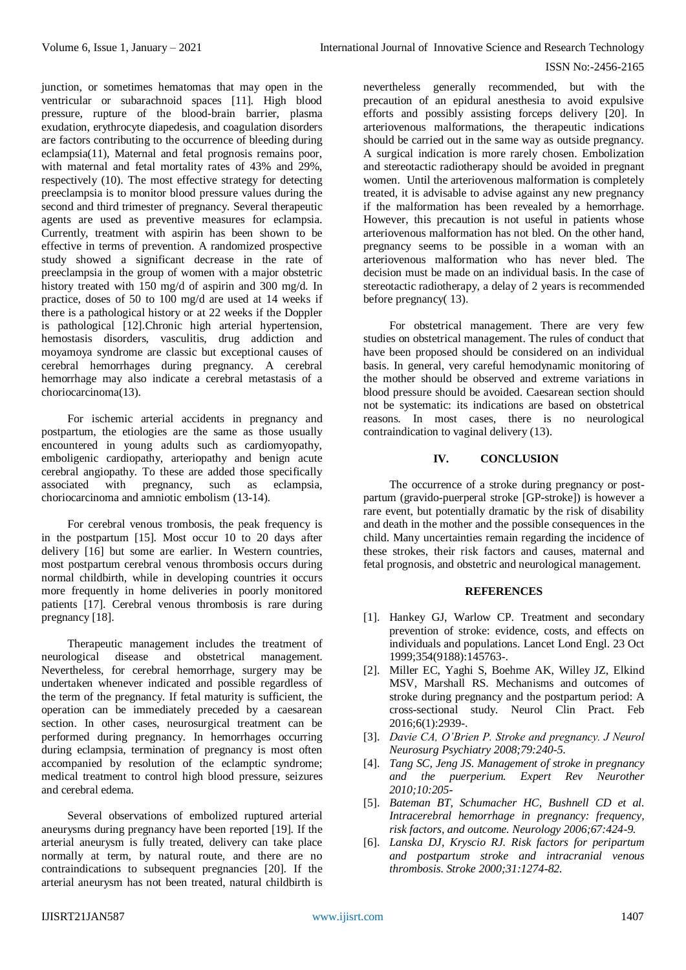#### ISSN No:-2456-2165

junction, or sometimes hematomas that may open in the ventricular or subarachnoid spaces [11]. High blood pressure, rupture of the blood-brain barrier, plasma exudation, erythrocyte diapedesis, and coagulation disorders are factors contributing to the occurrence of bleeding during eclampsia(11), Maternal and fetal prognosis remains poor, with maternal and fetal mortality rates of 43% and 29%, respectively (10). The most effective strategy for detecting preeclampsia is to monitor blood pressure values during the second and third trimester of pregnancy. Several therapeutic agents are used as preventive measures for eclampsia. Currently, treatment with aspirin has been shown to be effective in terms of prevention. A randomized prospective study showed a significant decrease in the rate of preeclampsia in the group of women with a major obstetric history treated with 150 mg/d of aspirin and 300 mg/d. In practice, doses of 50 to 100 mg/d are used at 14 weeks if there is a pathological history or at 22 weeks if the Doppler is pathological [12].Chronic high arterial hypertension, hemostasis disorders, vasculitis, drug addiction and moyamoya syndrome are classic but exceptional causes of cerebral hemorrhages during pregnancy. A cerebral hemorrhage may also indicate a cerebral metastasis of a choriocarcinoma(13).

For ischemic arterial accidents in pregnancy and postpartum, the etiologies are the same as those usually encountered in young adults such as cardiomyopathy, emboligenic cardiopathy, arteriopathy and benign acute cerebral angiopathy. To these are added those specifically associated with pregnancy, such as eclampsia, choriocarcinoma and amniotic embolism (13-14).

For cerebral venous trombosis, the peak frequency is in the postpartum [15]. Most occur 10 to 20 days after delivery [16] but some are earlier. In Western countries, most postpartum cerebral venous thrombosis occurs during normal childbirth, while in developing countries it occurs more frequently in home deliveries in poorly monitored patients [17]. Cerebral venous thrombosis is rare during pregnancy [18].

Therapeutic management includes the treatment of neurological disease and obstetrical management. Nevertheless, for cerebral hemorrhage, surgery may be undertaken whenever indicated and possible regardless of the term of the pregnancy. If fetal maturity is sufficient, the operation can be immediately preceded by a caesarean section. In other cases, neurosurgical treatment can be performed during pregnancy. In hemorrhages occurring during eclampsia, termination of pregnancy is most often accompanied by resolution of the eclamptic syndrome; medical treatment to control high blood pressure, seizures and cerebral edema.

Several observations of embolized ruptured arterial aneurysms during pregnancy have been reported [19]. If the arterial aneurysm is fully treated, delivery can take place normally at term, by natural route, and there are no contraindications to subsequent pregnancies [20]. If the arterial aneurysm has not been treated, natural childbirth is nevertheless generally recommended, but with the precaution of an epidural anesthesia to avoid expulsive efforts and possibly assisting forceps delivery [20]. In arteriovenous malformations, the therapeutic indications should be carried out in the same way as outside pregnancy. A surgical indication is more rarely chosen. Embolization and stereotactic radiotherapy should be avoided in pregnant women. Until the arteriovenous malformation is completely treated, it is advisable to advise against any new pregnancy if the malformation has been revealed by a hemorrhage. However, this precaution is not useful in patients whose arteriovenous malformation has not bled. On the other hand, pregnancy seems to be possible in a woman with an arteriovenous malformation who has never bled. The decision must be made on an individual basis. In the case of stereotactic radiotherapy, a delay of 2 years is recommended before pregnancy( 13).

For obstetrical management. There are very few studies on obstetrical management. The rules of conduct that have been proposed should be considered on an individual basis. In general, very careful hemodynamic monitoring of the mother should be observed and extreme variations in blood pressure should be avoided. Caesarean section should not be systematic: its indications are based on obstetrical reasons. In most cases, there is no neurological contraindication to vaginal delivery (13).

# **IV. CONCLUSION**

The occurrence of a stroke during pregnancy or postpartum (gravido-puerperal stroke [GP-stroke]) is however a rare event, but potentially dramatic by the risk of disability and death in the mother and the possible consequences in the child. Many uncertainties remain regarding the incidence of these strokes, their risk factors and causes, maternal and fetal prognosis, and obstetric and neurological management.

### **REFERENCES**

- [1]. Hankey GJ, Warlow CP. Treatment and secondary prevention of stroke: evidence, costs, and effects on individuals and populations. Lancet Lond Engl. 23 Oct 1999;354(9188):145763-.
- [2]. Miller EC, Yaghi S, Boehme AK, Willey JZ, Elkind MSV, Marshall RS. Mechanisms and outcomes of stroke during pregnancy and the postpartum period: A cross-sectional study. Neurol Clin Pract. Feb 2016;6(1):2939-.
- [3]. *Davie CA, O'Brien P. Stroke and pregnancy. J Neurol Neurosurg Psychiatry 2008;79:240-5.*
- [4]. *Tang SC, Jeng JS. Management of stroke in pregnancy and the puerperium. Expert Rev Neurother 2010;10:205-*
- [5]. *Bateman BT, Schumacher HC, Bushnell CD et al. Intracerebral hemorrhage in pregnancy: frequency, risk factors, and outcome. Neurology 2006;67:424-9.*
- [6]. *Lanska DJ, Kryscio RJ. Risk factors for peripartum and postpartum stroke and intracranial venous thrombosis. Stroke 2000;31:1274-82.*